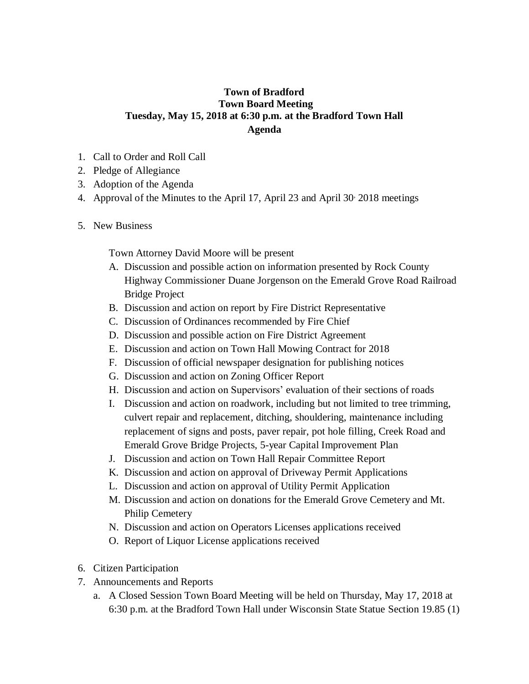## **Town of Bradford Town Board Meeting Tuesday, May 15, 2018 at 6:30 p.m. at the Bradford Town Hall Agenda**

- 1. Call to Order and Roll Call
- 2. Pledge of Allegiance
- 3. Adoption of the Agenda
- 4. Approval of the Minutes to the April 17, April 23 and April 30, 2018 meetings
- 5. New Business

Town Attorney David Moore will be present

- A. Discussion and possible action on information presented by Rock County Highway Commissioner Duane Jorgenson on the Emerald Grove Road Railroad Bridge Project
- B. Discussion and action on report by Fire District Representative
- C. Discussion of Ordinances recommended by Fire Chief
- D. Discussion and possible action on Fire District Agreement
- E. Discussion and action on Town Hall Mowing Contract for 2018
- F. Discussion of official newspaper designation for publishing notices
- G. Discussion and action on Zoning Officer Report
- H. Discussion and action on Supervisors' evaluation of their sections of roads
- I. Discussion and action on roadwork, including but not limited to tree trimming, culvert repair and replacement, ditching, shouldering, maintenance including replacement of signs and posts, paver repair, pot hole filling, Creek Road and Emerald Grove Bridge Projects, 5-year Capital Improvement Plan
- J. Discussion and action on Town Hall Repair Committee Report
- K. Discussion and action on approval of Driveway Permit Applications
- L. Discussion and action on approval of Utility Permit Application
- M. Discussion and action on donations for the Emerald Grove Cemetery and Mt. Philip Cemetery
- N. Discussion and action on Operators Licenses applications received
- O. Report of Liquor License applications received
- 6. Citizen Participation
- 7. Announcements and Reports
	- a. A Closed Session Town Board Meeting will be held on Thursday, May 17, 2018 at 6:30 p.m. at the Bradford Town Hall under Wisconsin State Statue Section 19.85 (1)